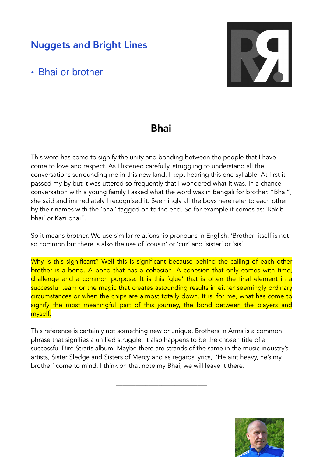## Nuggets and Bright Lines

## • Bhai or brother



## Bhai

This word has come to signify the unity and bonding between the people that I have come to love and respect. As I listened carefully, struggling to understand all the conversations surrounding me in this new land, I kept hearing this one syllable. At first it passed my by but it was uttered so frequently that I wondered what it was. In a chance conversation with a young family I asked what the word was in Bengali for brother. "Bhai", she said and immediately I recognised it. Seemingly all the boys here refer to each other by their names with the 'bhai' tagged on to the end. So for example it comes as: 'Rakib bhai' or Kazi bhai".

So it means brother. We use similar relationship pronouns in English. 'Brother' itself is not so common but there is also the use of 'cousin' or 'cuz' and 'sister' or 'sis'.

Why is this significant? Well this is significant because behind the calling of each other brother is a bond. A bond that has a cohesion. A cohesion that only comes with time, challenge and a common purpose. It is this 'glue' that is often the final element in a successful team or the magic that creates astounding results in either seemingly ordinary circumstances or when the chips are almost totally down. It is, for me, what has come to signify the most meaningful part of this journey, the bond between the players and myself.

This reference is certainly not something new or unique. Brothers In Arms is a common phrase that signifies a unified struggle. It also happens to be the chosen title of a successful Dire Straits album. Maybe there are strands of the same in the music industry's artists, Sister Sledge and Sisters of Mercy and as regards lyrics, 'He aint heavy, he's my brother' come to mind. I think on that note my Bhai, we will leave it there.

\_\_\_\_\_\_\_\_\_\_\_\_\_\_\_\_\_\_\_\_\_\_\_\_\_\_\_\_